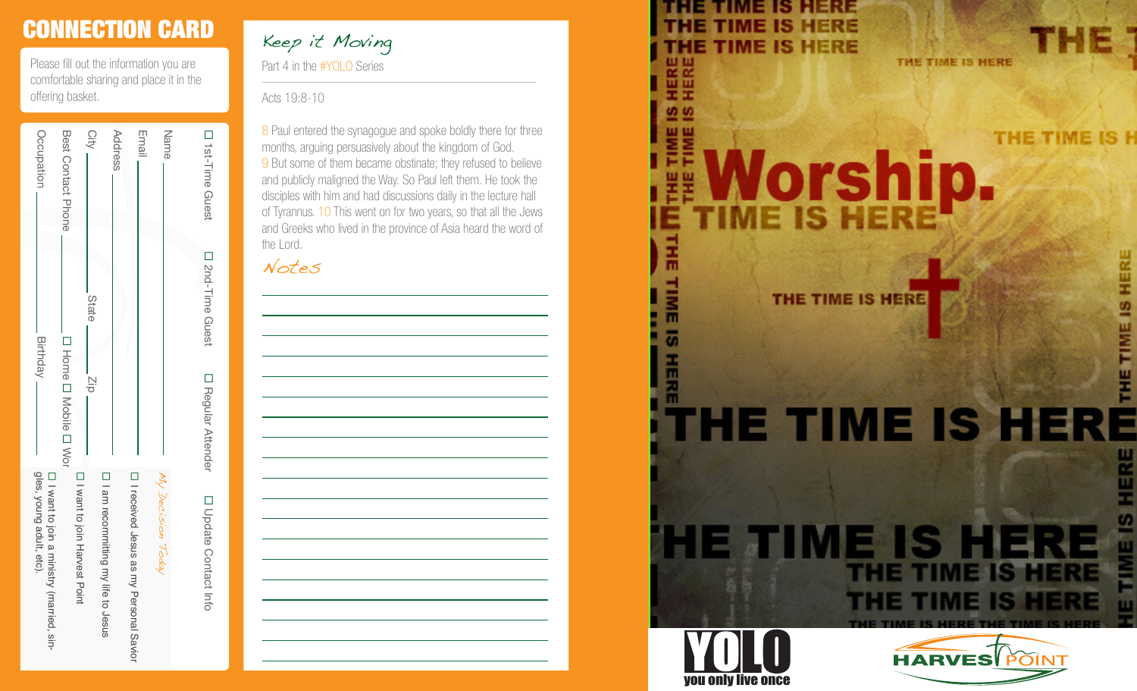## CONNECTION CARD

Please fill out the information you are comfortable sharing and place it in the offering basket.

|                              |                         |                           | condo do do to the the the the the the theory of the theory of the theory of the theory of the theory of the theory of the theory of the theory of the theory of the theory of the theory of the theory of the theory of the t |
|------------------------------|-------------------------|---------------------------|--------------------------------------------------------------------------------------------------------------------------------------------------------------------------------------------------------------------------------|
|                              |                         |                           |                                                                                                                                                                                                                                |
| D <sub>1</sub> st-Time Guest | <b>D</b> 2nd-Time Guest | <b>D</b> Regular Attender | □ Opdate Contract Into                                                                                                                                                                                                         |
| Name                         |                         |                           |                                                                                                                                                                                                                                |
|                              |                         |                           | My Decision Today                                                                                                                                                                                                              |
| Email                        |                         |                           | I I received Jesus as my Personal Savior                                                                                                                                                                                       |
| Address                      |                         |                           |                                                                                                                                                                                                                                |
|                              |                         |                           | □ I am recommitting my life to Jesus                                                                                                                                                                                           |
| City                         | State                   | $\frac{1}{2}$             | ローwant to join Harvest Point                                                                                                                                                                                                   |
| <b>Best Contact Phone</b>    |                         | □ Home □ Mobile □ Wor     |                                                                                                                                                                                                                                |
| Occupation                   | <b>Birthday</b>         |                           | gles, young adult, etc).<br>□ I want to join a ministry (married, sin-                                                                                                                                                         |
|                              |                         |                           |                                                                                                                                                                                                                                |

Part 4 in the #YOLO Series Keep it Moving

Acts 19:8-10

j

8 Paul entered the synagogue and spoke boldly there for three months, arguing persuasively about the kingdom of God.<br>9 But some of them became obstinate; they refused to believe and publicly maligned the Way. So Paul left them. He took the disciples with him and had discussions daily in the lecture hall of Tyrannus. 10 This went on for two years, so that all the Jews and Greeks who lived in the province of Asia heard the word of the Lord.

Notes